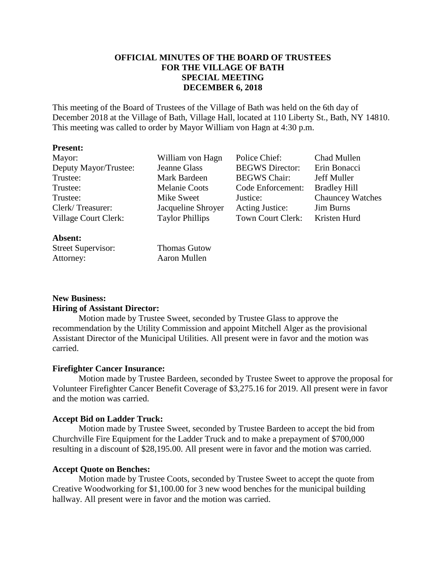# **OFFICIAL MINUTES OF THE BOARD OF TRUSTEES FOR THE VILLAGE OF BATH SPECIAL MEETING DECEMBER 6, 2018**

This meeting of the Board of Trustees of the Village of Bath was held on the 6th day of December 2018 at the Village of Bath, Village Hall, located at 110 Liberty St., Bath, NY 14810. This meeting was called to order by Mayor William von Hagn at 4:30 p.m.

#### **Present:**

| Mayor:                | William von Hagn       | Police Chief:          | Chad Mullen             |
|-----------------------|------------------------|------------------------|-------------------------|
| Deputy Mayor/Trustee: | Jeanne Glass           | <b>BEGWS</b> Director: | Erin Bonacci            |
| Trustee:              | Mark Bardeen           | <b>BEGWS Chair:</b>    | Jeff Muller             |
| Trustee:              | <b>Melanie Coots</b>   | Code Enforcement:      | <b>Bradley Hill</b>     |
| Trustee:              | Mike Sweet             | Justice:               | <b>Chauncey Watches</b> |
| Clerk/Treasurer:      | Jacqueline Shroyer     | <b>Acting Justice:</b> | <b>Jim Burns</b>        |
| Village Court Clerk:  | <b>Taylor Phillips</b> | Town Court Clerk:      | Kristen Hurd            |
| Absent:               |                        |                        |                         |

# **New Business: Hiring of Assistant Director:**

Street Supervisor: Thomas Gutow Attorney: Aaron Mullen

Motion made by Trustee Sweet, seconded by Trustee Glass to approve the recommendation by the Utility Commission and appoint Mitchell Alger as the provisional Assistant Director of the Municipal Utilities. All present were in favor and the motion was carried.

## **Firefighter Cancer Insurance:**

Motion made by Trustee Bardeen, seconded by Trustee Sweet to approve the proposal for Volunteer Firefighter Cancer Benefit Coverage of \$3,275.16 for 2019. All present were in favor and the motion was carried.

## **Accept Bid on Ladder Truck:**

Motion made by Trustee Sweet, seconded by Trustee Bardeen to accept the bid from Churchville Fire Equipment for the Ladder Truck and to make a prepayment of \$700,000 resulting in a discount of \$28,195.00. All present were in favor and the motion was carried.

## **Accept Quote on Benches:**

Motion made by Trustee Coots, seconded by Trustee Sweet to accept the quote from Creative Woodworking for \$1,100.00 for 3 new wood benches for the municipal building hallway. All present were in favor and the motion was carried.